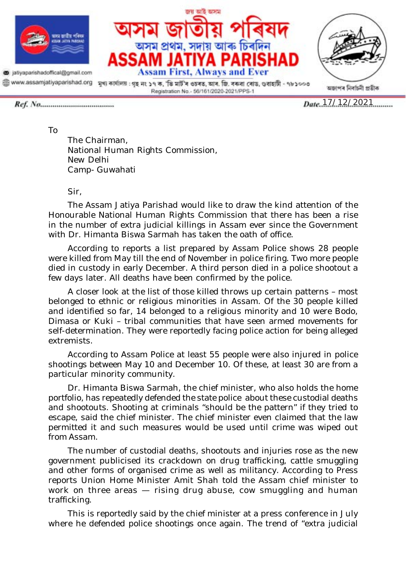

a jatiyaparishadoffical@gmail.com





@ www.assamjatiyaparishad.org श्रृश कार्यालय: शृङ् न: ১৭ क, 'डि मार्डे'न ওচৰত, আৰ. জি. বৰুৱা ৰোড, ওবাহাটী - ৭৮১০০৩ Registration No. - 56/161/2020-2021/PPS-1

Date  $17/12/2021$ 

To

The Chairman, National Human Rights Commission, New Delhi Camp- Guwahati

Sir,

The Assam Jatiya Parishad would like to draw the kind attention of the Honourable National Human Rights Commission that there has been a rise in the number of extra judicial killings in Assam ever since the Government with Dr. Himanta Biswa Sarmah has taken the oath of office.

According to reports a list prepared by Assam Police shows 28 people were killed from May till the end of November in police firing. Two more people died in custody in early December. A third person died in a police shootout a few days later. All deaths have been confirmed by the police.

A closer look at the list of those killed throws up certain patterns – most belonged to ethnic or religious minorities in Assam. Of the 30 people killed and identified so far, 14 belonged to a religious minority and 10 were Bodo, Dimasa or Kuki – tribal communities that have seen armed movements for self-determination. They were reportedly facing police action for being alleged extremists.

According to Assam Police at least 55 people were also injured in police shootings between May 10 and December 10. Of these, at least 30 are from a particular minority community.

Dr. Himanta Biswa Sarmah, the chief minister, who also holds the home portfolio, has repeatedly defended the state police about these custodial deaths and shootouts. Shooting at criminals "should be the pattern" if they tried to escape, said the chief minister. The chief minister even claimed that the law permitted it and such measures would be used until crime was wiped out from Assam.

The number of custodial deaths, shootouts and injuries rose as the new government publicised its crackdown on drug trafficking, cattle smuggling and other forms of organised crime as well as militancy. According to Press reports Union Home Minister Amit Shah told the Assam chief minister to work on three areas  $-$  rising drug abuse, cow smuggling and human trafficking.

This is reportedly said by the chief minister at a press conference in July where he defended police shootings once again. The trend of "extra judicial